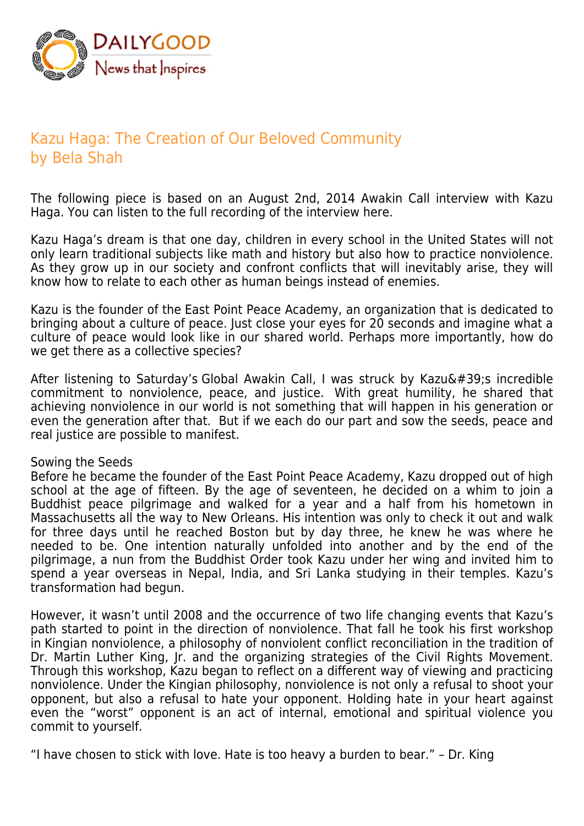

# Kazu Haga: The Creation of Our Beloved Community by Bela Shah

The following piece is based on an August 2nd, 2014 Awakin Call interview with Kazu Haga. You can listen to the full recording of the interview here.

Kazu Haga's dream is that one day, children in every school in the United States will not only learn traditional subjects like math and history but also how to practice nonviolence. As they grow up in our society and confront conflicts that will inevitably arise, they will know how to relate to each other as human beings instead of enemies.

Kazu is the founder of the East Point Peace Academy, an organization that is dedicated to bringing about a culture of peace. Just close your eyes for 20 seconds and imagine what a culture of peace would look like in our shared world. Perhaps more importantly, how do we get there as a collective species?

After listening to Saturday's Global Awakin Call, I was struck by Kazu's incredible commitment to nonviolence, peace, and justice. With great humility, he shared that achieving nonviolence in our world is not something that will happen in his generation or even the generation after that. But if we each do our part and sow the seeds, peace and real justice are possible to manifest.

## Sowing the Seeds

Before he became the founder of the East Point Peace Academy, Kazu dropped out of high school at the age of fifteen. By the age of seventeen, he decided on a whim to join a Buddhist peace pilgrimage and walked for a year and a half from his hometown in Massachusetts all the way to New Orleans. His intention was only to check it out and walk for three days until he reached Boston but by day three, he knew he was where he needed to be. One intention naturally unfolded into another and by the end of the pilgrimage, a nun from the Buddhist Order took Kazu under her wing and invited him to spend a year overseas in Nepal, India, and Sri Lanka studying in their temples. Kazu's transformation had begun.

However, it wasn't until 2008 and the occurrence of two life changing events that Kazu's path started to point in the direction of nonviolence. That fall he took his first workshop in Kingian nonviolence, a philosophy of nonviolent conflict reconciliation in the tradition of Dr. Martin Luther King, Jr. and the organizing strategies of the Civil Rights Movement. Through this workshop, Kazu began to reflect on a different way of viewing and practicing nonviolence. Under the Kingian philosophy, nonviolence is not only a refusal to shoot your opponent, but also a refusal to hate your opponent. Holding hate in your heart against even the "worst" opponent is an act of internal, emotional and spiritual violence you commit to yourself.

"I have chosen to stick with love. Hate is too heavy a burden to bear." – Dr. King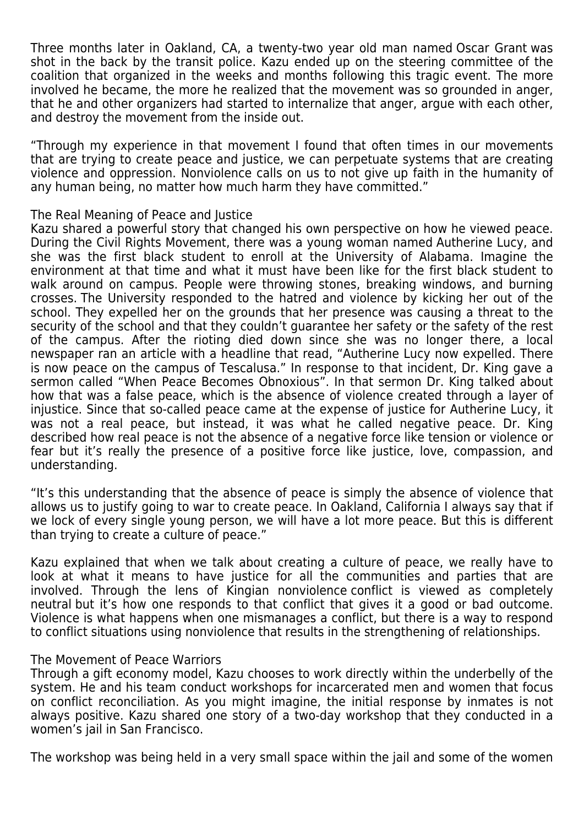Three months later in Oakland, CA, a twenty-two year old man named Oscar Grant was shot in the back by the transit police. Kazu ended up on the steering committee of the coalition that organized in the weeks and months following this tragic event. The more involved he became, the more he realized that the movement was so grounded in anger, that he and other organizers had started to internalize that anger, argue with each other, and destroy the movement from the inside out.

"Through my experience in that movement I found that often times in our movements that are trying to create peace and justice, we can perpetuate systems that are creating violence and oppression. Nonviolence calls on us to not give up faith in the humanity of any human being, no matter how much harm they have committed."

### The Real Meaning of Peace and Justice

Kazu shared a powerful story that changed his own perspective on how he viewed peace. During the Civil Rights Movement, there was a young woman named Autherine Lucy, and she was the first black student to enroll at the University of Alabama. Imagine the environment at that time and what it must have been like for the first black student to walk around on campus. People were throwing stones, breaking windows, and burning crosses. The University responded to the hatred and violence by kicking her out of the school. They expelled her on the grounds that her presence was causing a threat to the security of the school and that they couldn't guarantee her safety or the safety of the rest of the campus. After the rioting died down since she was no longer there, a local newspaper ran an article with a headline that read, "Autherine Lucy now expelled. There is now peace on the campus of Tescalusa." In response to that incident, Dr. King gave a sermon called "When Peace Becomes Obnoxious". In that sermon Dr. King talked about how that was a false peace, which is the absence of violence created through a layer of injustice. Since that so-called peace came at the expense of justice for Autherine Lucy, it was not a real peace, but instead, it was what he called negative peace. Dr. King described how real peace is not the absence of a negative force like tension or violence or fear but it's really the presence of a positive force like justice, love, compassion, and understanding.

"It's this understanding that the absence of peace is simply the absence of violence that allows us to justify going to war to create peace. In Oakland, California I always say that if we lock of every single young person, we will have a lot more peace. But this is different than trying to create a culture of peace."

Kazu explained that when we talk about creating a culture of peace, we really have to look at what it means to have justice for all the communities and parties that are involved. Through the lens of Kingian nonviolence conflict is viewed as completely neutral but it's how one responds to that conflict that gives it a good or bad outcome. Violence is what happens when one mismanages a conflict, but there is a way to respond to conflict situations using nonviolence that results in the strengthening of relationships.

## The Movement of Peace Warriors

Through a gift economy model, Kazu chooses to work directly within the underbelly of the system. He and his team conduct workshops for incarcerated men and women that focus on conflict reconciliation. As you might imagine, the initial response by inmates is not always positive. Kazu shared one story of a two-day workshop that they conducted in a women's jail in San Francisco.

The workshop was being held in a very small space within the jail and some of the women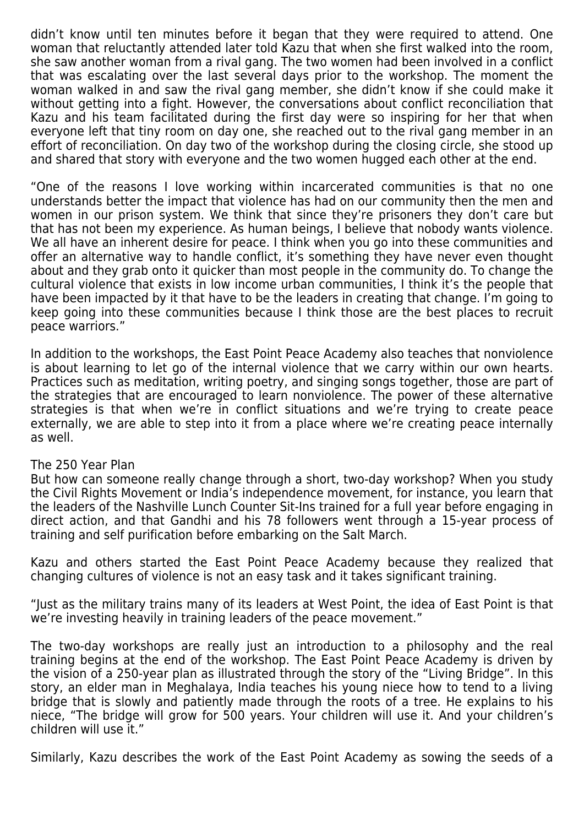didn't know until ten minutes before it began that they were required to attend. One woman that reluctantly attended later told Kazu that when she first walked into the room, she saw another woman from a rival gang. The two women had been involved in a conflict that was escalating over the last several days prior to the workshop. The moment the woman walked in and saw the rival gang member, she didn't know if she could make it without getting into a fight. However, the conversations about conflict reconciliation that Kazu and his team facilitated during the first day were so inspiring for her that when everyone left that tiny room on day one, she reached out to the rival gang member in an effort of reconciliation. On day two of the workshop during the closing circle, she stood up and shared that story with everyone and the two women hugged each other at the end.

"One of the reasons I love working within incarcerated communities is that no one understands better the impact that violence has had on our community then the men and women in our prison system. We think that since they're prisoners they don't care but that has not been my experience. As human beings, I believe that nobody wants violence. We all have an inherent desire for peace. I think when you go into these communities and offer an alternative way to handle conflict, it's something they have never even thought about and they grab onto it quicker than most people in the community do. To change the cultural violence that exists in low income urban communities, I think it's the people that have been impacted by it that have to be the leaders in creating that change. I'm going to keep going into these communities because I think those are the best places to recruit peace warriors."

In addition to the workshops, the East Point Peace Academy also teaches that nonviolence is about learning to let go of the internal violence that we carry within our own hearts. Practices such as meditation, writing poetry, and singing songs together, those are part of the strategies that are encouraged to learn nonviolence. The power of these alternative strategies is that when we're in conflict situations and we're trying to create peace externally, we are able to step into it from a place where we're creating peace internally as well.

#### The 250 Year Plan

But how can someone really change through a short, two-day workshop? When you study the Civil Rights Movement or India's independence movement, for instance, you learn that the leaders of the Nashville Lunch Counter Sit-Ins trained for a full year before engaging in direct action, and that Gandhi and his 78 followers went through a 15-year process of training and self purification before embarking on the Salt March.

Kazu and others started the East Point Peace Academy because they realized that changing cultures of violence is not an easy task and it takes significant training.

"Just as the military trains many of its leaders at West Point, the idea of East Point is that we're investing heavily in training leaders of the peace movement."

The two-day workshops are really just an introduction to a philosophy and the real training begins at the end of the workshop. The East Point Peace Academy is driven by the vision of a 250-year plan as illustrated through the story of the "Living Bridge". In this story, an elder man in Meghalaya, India teaches his young niece how to tend to a living bridge that is slowly and patiently made through the roots of a tree. He explains to his niece, "The bridge will grow for 500 years. Your children will use it. And your children's children will use it."

Similarly, Kazu describes the work of the East Point Academy as sowing the seeds of a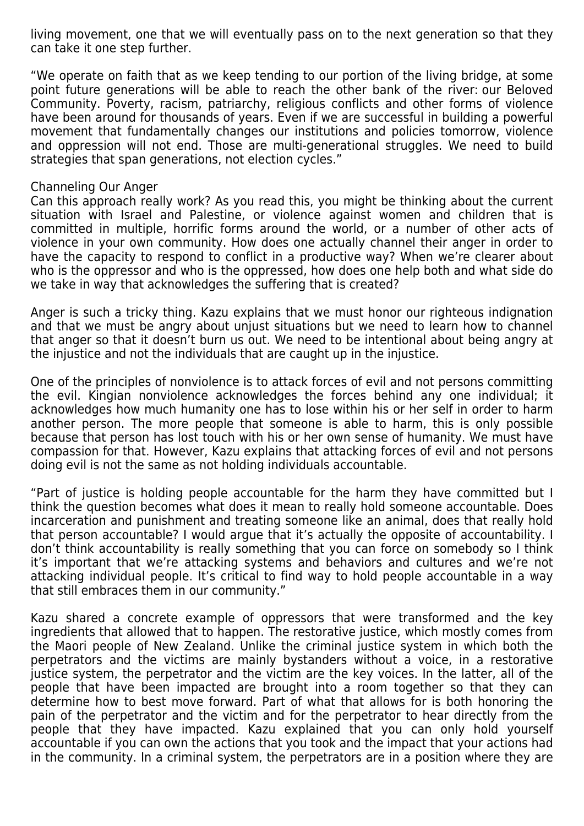living movement, one that we will eventually pass on to the next generation so that they can take it one step further.

"We operate on faith that as we keep tending to our portion of the living bridge, at some point future generations will be able to reach the other bank of the river: our Beloved Community. Poverty, racism, patriarchy, religious conflicts and other forms of violence have been around for thousands of years. Even if we are successful in building a powerful movement that fundamentally changes our institutions and policies tomorrow, violence and oppression will not end. Those are multi-generational struggles. We need to build strategies that span generations, not election cycles."

## Channeling Our Anger

Can this approach really work? As you read this, you might be thinking about the current situation with Israel and Palestine, or violence against women and children that is committed in multiple, horrific forms around the world, or a number of other acts of violence in your own community. How does one actually channel their anger in order to have the capacity to respond to conflict in a productive way? When we're clearer about who is the oppressor and who is the oppressed, how does one help both and what side do we take in way that acknowledges the suffering that is created?

Anger is such a tricky thing. Kazu explains that we must honor our righteous indignation and that we must be angry about unjust situations but we need to learn how to channel that anger so that it doesn't burn us out. We need to be intentional about being angry at the injustice and not the individuals that are caught up in the injustice.

One of the principles of nonviolence is to attack forces of evil and not persons committing the evil. Kingian nonviolence acknowledges the forces behind any one individual; it acknowledges how much humanity one has to lose within his or her self in order to harm another person. The more people that someone is able to harm, this is only possible because that person has lost touch with his or her own sense of humanity. We must have compassion for that. However, Kazu explains that attacking forces of evil and not persons doing evil is not the same as not holding individuals accountable.

"Part of justice is holding people accountable for the harm they have committed but I think the question becomes what does it mean to really hold someone accountable. Does incarceration and punishment and treating someone like an animal, does that really hold that person accountable? I would argue that it's actually the opposite of accountability. I don't think accountability is really something that you can force on somebody so I think it's important that we're attacking systems and behaviors and cultures and we're not attacking individual people. It's critical to find way to hold people accountable in a way that still embraces them in our community."

Kazu shared a concrete example of oppressors that were transformed and the key ingredients that allowed that to happen. The restorative justice, which mostly comes from the Maori people of New Zealand. Unlike the criminal justice system in which both the perpetrators and the victims are mainly bystanders without a voice, in a restorative justice system, the perpetrator and the victim are the key voices. In the latter, all of the people that have been impacted are brought into a room together so that they can determine how to best move forward. Part of what that allows for is both honoring the pain of the perpetrator and the victim and for the perpetrator to hear directly from the people that they have impacted. Kazu explained that you can only hold yourself accountable if you can own the actions that you took and the impact that your actions had in the community. In a criminal system, the perpetrators are in a position where they are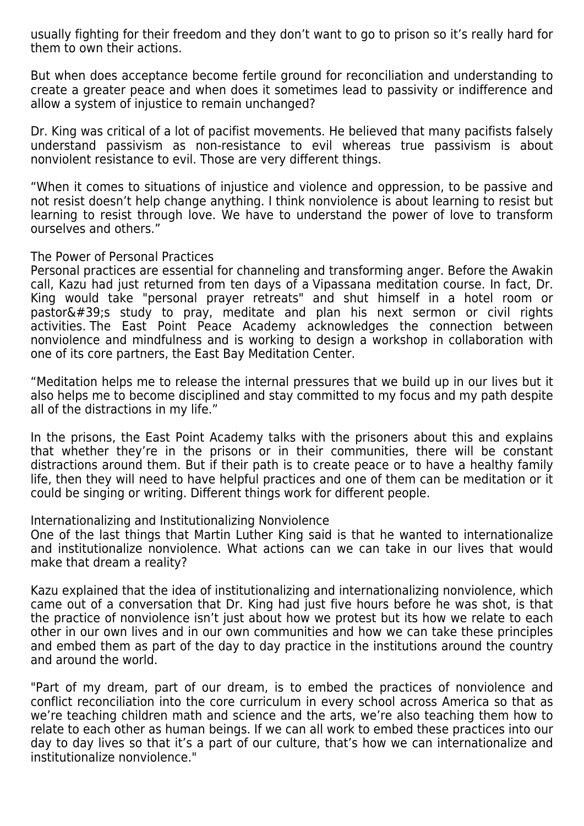usually fighting for their freedom and they don't want to go to prison so it's really hard for them to own their actions.

But when does acceptance become fertile ground for reconciliation and understanding to create a greater peace and when does it sometimes lead to passivity or indifference and allow a system of injustice to remain unchanged?

Dr. King was critical of a lot of pacifist movements. He believed that many pacifists falsely understand passivism as non-resistance to evil whereas true passivism is about nonviolent resistance to evil. Those are very different things.

"When it comes to situations of injustice and violence and oppression, to be passive and not resist doesn't help change anything. I think nonviolence is about learning to resist but learning to resist through love. We have to understand the power of love to transform ourselves and others."

## The Power of Personal Practices

Personal practices are essential for channeling and transforming anger. Before the Awakin call, Kazu had just returned from ten days of a Vipassana meditation course. In fact, Dr. King would take "personal prayer retreats" and shut himself in a hotel room or pastor's study to pray, meditate and plan his next sermon or civil rights activities. The East Point Peace Academy acknowledges the connection between nonviolence and mindfulness and is working to design a workshop in collaboration with one of its core partners, the East Bay Meditation Center.

"Meditation helps me to release the internal pressures that we build up in our lives but it also helps me to become disciplined and stay committed to my focus and my path despite all of the distractions in my life."

In the prisons, the East Point Academy talks with the prisoners about this and explains that whether they're in the prisons or in their communities, there will be constant distractions around them. But if their path is to create peace or to have a healthy family life, then they will need to have helpful practices and one of them can be meditation or it could be singing or writing. Different things work for different people.

## Internationalizing and Institutionalizing Nonviolence

One of the last things that Martin Luther King said is that he wanted to internationalize and institutionalize nonviolence. What actions can we can take in our lives that would make that dream a reality?

Kazu explained that the idea of institutionalizing and internationalizing nonviolence, which came out of a conversation that Dr. King had just five hours before he was shot, is that the practice of nonviolence isn't just about how we protest but its how we relate to each other in our own lives and in our own communities and how we can take these principles and embed them as part of the day to day practice in the institutions around the country and around the world.

"Part of my dream, part of our dream, is to embed the practices of nonviolence and conflict reconciliation into the core curriculum in every school across America so that as we're teaching children math and science and the arts, we're also teaching them how to relate to each other as human beings. If we can all work to embed these practices into our day to day lives so that it's a part of our culture, that's how we can internationalize and institutionalize nonviolence."